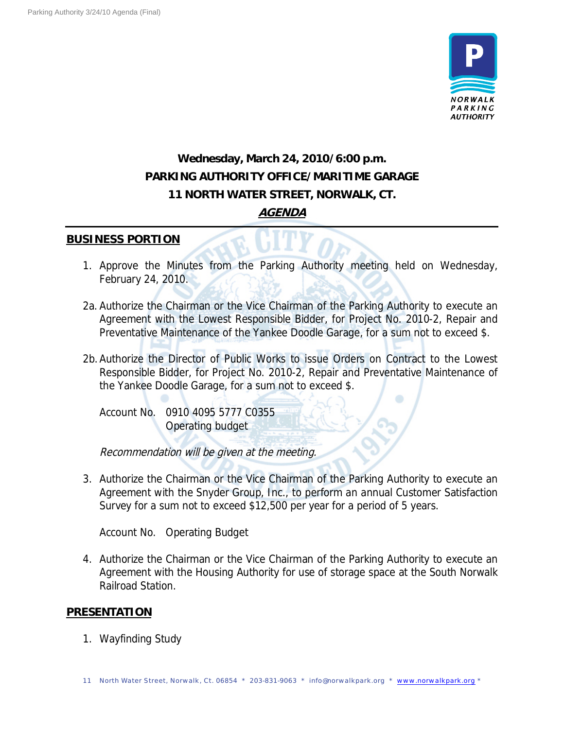

## **Wednesday, March 24, 2010/6:00 p.m. PARKING AUTHORITY OFFICE/MARITIME GARAGE 11 NORTH WATER STREET, NORWALK, CT. AGENDA**

## **BUSINESS PORTION**

- 1. Approve the Minutes from the Parking Authority meeting held on Wednesday, February 24, 2010.
- 2a. Authorize the Chairman or the Vice Chairman of the Parking Authority to execute an Agreement with the Lowest Responsible Bidder, for Project No. 2010-2, Repair and Preventative Maintenance of the Yankee Doodle Garage, for a sum not to exceed \$.
- 2b.Authorize the Director of Public Works to issue Orders on Contract to the Lowest Responsible Bidder, for Project No. 2010-2, Repair and Preventative Maintenance of the Yankee Doodle Garage, for a sum not to exceed \$.
	- Account No. 0910 4095 5777 C0355 Operating budget

Recommendation will be given at the meeting.

3. Authorize the Chairman or the Vice Chairman of the Parking Authority to execute an Agreement with the Snyder Group, Inc., to perform an annual Customer Satisfaction Survey for a sum not to exceed \$12,500 per year for a period of 5 years.

Account No. Operating Budget

4. Authorize the Chairman or the Vice Chairman of the Parking Authority to execute an Agreement with the Housing Authority for use of storage space at the South Norwalk Railroad Station.

## **PRESENTATION**

1. Wayfinding Study